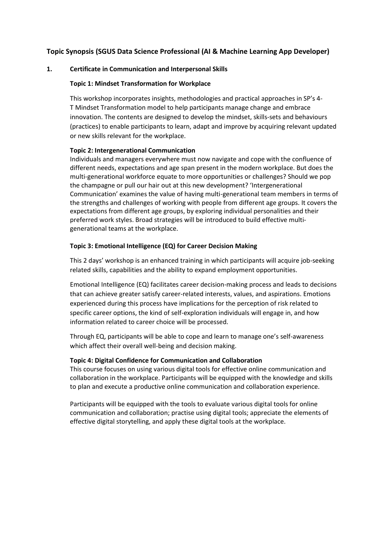# **Topic Synopsis (SGUS Data Science Professional (AI & Machine Learning App Developer)**

### **1. Certificate in Communication and Interpersonal Skills**

### **Topic 1: Mindset Transformation for Workplace**

This workshop incorporates insights, methodologies and practical approaches in SP's 4- T Mindset Transformation model to help participants manage change and embrace innovation. The contents are designed to develop the mindset, skills-sets and behaviours (practices) to enable participants to learn, adapt and improve by acquiring relevant updated or new skills relevant for the workplace.

#### **Topic 2: Intergenerational Communication**

Individuals and managers everywhere must now navigate and cope with the confluence of different needs, expectations and age span present in the modern workplace. But does the multi-generational workforce equate to more opportunities or challenges? Should we pop the champagne or pull our hair out at this new development? 'Intergenerational Communication' examines the value of having multi-generational team members in terms of the strengths and challenges of working with people from different age groups. It covers the expectations from different age groups, by exploring individual personalities and their preferred work styles. Broad strategies will be introduced to build effective multigenerational teams at the workplace.

### **Topic 3: Emotional Intelligence (EQ) for Career Decision Making**

This 2 days' workshop is an enhanced training in which participants will acquire job-seeking related skills, capabilities and the ability to expand employment opportunities.

Emotional Intelligence (EQ) facilitates career decision-making process and leads to decisions that can achieve greater satisfy career-related interests, values, and aspirations. Emotions experienced during this process have implications for the perception of risk related to specific career options, the kind of self-exploration individuals will engage in, and how information related to career choice will be processed.

Through EQ, participants will be able to cope and learn to manage one's self-awareness which affect their overall well-being and decision making.

#### **Topic 4: Digital Confidence for Communication and Collaboration**

This course focuses on using various digital tools for effective online communication and collaboration in the workplace. Participants will be equipped with the knowledge and skills to plan and execute a productive online communication and collaboration experience.

Participants will be equipped with the tools to evaluate various digital tools for online communication and collaboration; practise using digital tools; appreciate the elements of effective digital storytelling, and apply these digital tools at the workplace.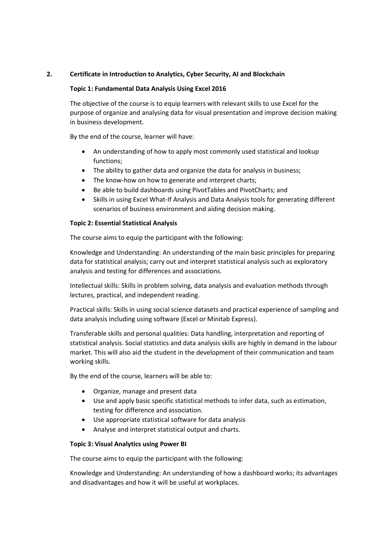# **2. Certificate in Introduction to Analytics, Cyber Security, AI and Blockchain**

#### **Topic 1: Fundamental Data Analysis Using Excel 2016**

The objective of the course is to equip learners with relevant skills to use Excel for the purpose of organize and analysing data for visual presentation and improve decision making in business development.

By the end of the course, learner will have:

- An understanding of how to apply most commonly used statistical and lookup functions;
- The ability to gather data and organize the data for analysis in business;
- The know-how on how to generate and interpret charts;
- Be able to build dashboards using PivotTables and PivotCharts; and
- Skills in using Excel What-If Analysis and Data Analysis tools for generating different scenarios of business environment and aiding decision making.

#### **Topic 2: Essential Statistical Analysis**

The course aims to equip the participant with the following:

Knowledge and Understanding: An understanding of the main basic principles for preparing data for statistical analysis; carry out and interpret statistical analysis such as exploratory analysis and testing for differences and associations.

Intellectual skills: Skills in problem solving, data analysis and evaluation methods through lectures, practical, and independent reading.

Practical skills: Skills in using social science datasets and practical experience of sampling and data analysis including using software (Excel or Minitab Express).

Transferable skills and personal qualities: Data handling, interpretation and reporting of statistical analysis. Social statistics and data analysis skills are highly in demand in the labour market. This will also aid the student in the development of their communication and team working skills.

By the end of the course, learners will be able to:

- Organize, manage and present data
- Use and apply basic specific statistical methods to infer data, such as estimation, testing for difference and association.
- Use appropriate statistical software for data analysis
- Analyse and interpret statistical output and charts.

#### **Topic 3: Visual Analytics using Power BI**

The course aims to equip the participant with the following:

Knowledge and Understanding: An understanding of how a dashboard works; its advantages and disadvantages and how it will be useful at workplaces.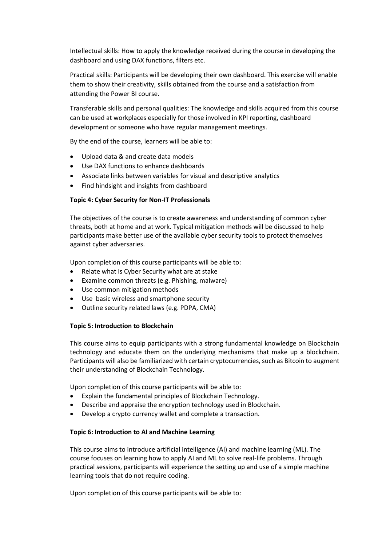Intellectual skills: How to apply the knowledge received during the course in developing the dashboard and using DAX functions, filters etc.

Practical skills: Participants will be developing their own dashboard. This exercise will enable them to show their creativity, skills obtained from the course and a satisfaction from attending the Power BI course.

Transferable skills and personal qualities: The knowledge and skills acquired from this course can be used at workplaces especially for those involved in KPI reporting, dashboard development or someone who have regular management meetings.

By the end of the course, learners will be able to:

- Upload data & and create data models
- Use DAX functions to enhance dashboards
- Associate links between variables for visual and descriptive analytics
- Find hindsight and insights from dashboard

#### **Topic 4: Cyber Security for Non-IT Professionals**

The objectives of the course is to create awareness and understanding of common cyber threats, both at home and at work. Typical mitigation methods will be discussed to help participants make better use of the available cyber security tools to protect themselves against cyber adversaries.

Upon completion of this course participants will be able to:

- Relate what is Cyber Security what are at stake
- Examine common threats (e.g. Phishing, malware)
- Use common mitigation methods
- Use basic wireless and smartphone security
- Outline security related laws (e.g. PDPA, CMA)

#### **Topic 5: Introduction to Blockchain**

This course aims to equip participants with a strong fundamental knowledge on Blockchain technology and educate them on the underlying mechanisms that make up a blockchain. Participants will also be familiarized with certain cryptocurrencies, such as Bitcoin to augment their understanding of Blockchain Technology.

Upon completion of this course participants will be able to:

- Explain the fundamental principles of Blockchain Technology.
- Describe and appraise the encryption technology used in Blockchain.
- Develop a crypto currency wallet and complete a transaction.

#### **Topic 6: Introduction to AI and Machine Learning**

This course aims to introduce artificial intelligence (AI) and machine learning (ML). The course focuses on learning how to apply AI and ML to solve real-life problems. Through practical sessions, participants will experience the setting up and use of a simple machine learning tools that do not require coding.

Upon completion of this course participants will be able to: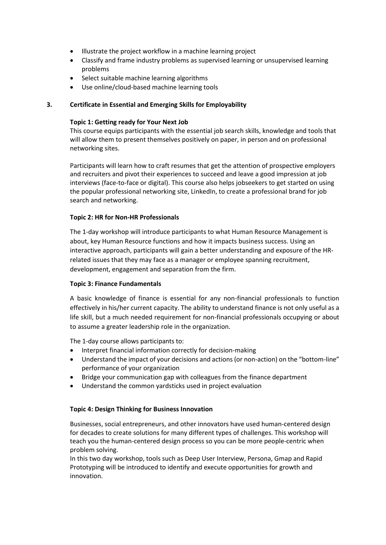- Illustrate the project workflow in a machine learning project
- Classify and frame industry problems as supervised learning or unsupervised learning problems
- Select suitable machine learning algorithms
- Use online/cloud-based machine learning tools

### **3. Certificate in Essential and Emerging Skills for Employability**

#### **Topic 1: Getting ready for Your Next Job**

This course equips participants with the essential job search skills, knowledge and tools that will allow them to present themselves positively on paper, in person and on professional networking sites.

Participants will learn how to craft resumes that get the attention of prospective employers and recruiters and pivot their experiences to succeed and leave a good impression at job interviews (face-to-face or digital). This course also helps jobseekers to get started on using the popular professional networking site, LinkedIn, to create a professional brand for job search and networking.

#### **Topic 2: HR for Non-HR Professionals**

The 1-day workshop will introduce participants to what Human Resource Management is about, key Human Resource functions and how it impacts business success. Using an interactive approach, participants will gain a better understanding and exposure of the HRrelated issues that they may face as a manager or employee spanning recruitment, development, engagement and separation from the firm.

#### **Topic 3: Finance Fundamentals**

A basic knowledge of finance is essential for any non-financial professionals to function effectively in his/her current capacity. The ability to understand finance is not only useful as a life skill, but a much needed requirement for non-financial professionals occupying or about to assume a greater leadership role in the organization.

The 1-day course allows participants to:

- Interpret financial information correctly for decision-making
- Understand the impact of your decisions and actions (or non-action) on the "bottom-line" performance of your organization
- Bridge your communication gap with colleagues from the finance department
- Understand the common yardsticks used in project evaluation

#### **Topic 4: Design Thinking for Business Innovation**

Businesses, social entrepreneurs, and other innovators have used human-centered design for decades to create solutions for many different types of challenges. This workshop will teach you the human-centered design process so you can be more people-centric when problem solving.

In this two day workshop, tools such as Deep User Interview, Persona, Gmap and Rapid Prototyping will be introduced to identify and execute opportunities for growth and innovation.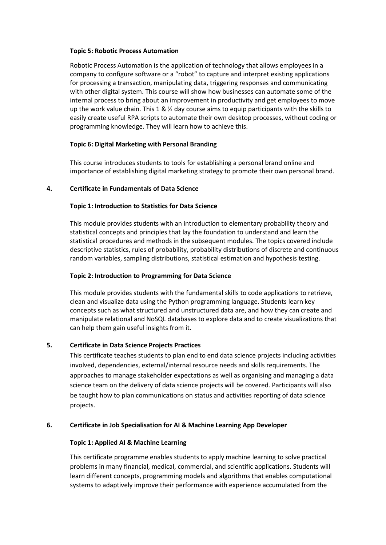#### **Topic 5: Robotic Process Automation**

Robotic Process Automation is the application of technology that allows employees in a company to configure software or a "robot" to capture and interpret existing applications for processing a transaction, manipulating data, triggering responses and communicating with other digital system. This course will show how businesses can automate some of the internal process to bring about an improvement in productivity and get employees to move up the work value chain. This 1 &  $\frac{1}{2}$  day course aims to equip participants with the skills to easily create useful RPA scripts to automate their own desktop processes, without coding or programming knowledge. They will learn how to achieve this.

### **Topic 6: Digital Marketing with Personal Branding**

This course introduces students to tools for establishing a personal brand online and importance of establishing digital marketing strategy to promote their own personal brand.

### **4. Certificate in Fundamentals of Data Science**

### **Topic 1: Introduction to Statistics for Data Science**

This module provides students with an introduction to elementary probability theory and statistical concepts and principles that lay the foundation to understand and learn the statistical procedures and methods in the subsequent modules. The topics covered include descriptive statistics, rules of probability, probability distributions of discrete and continuous random variables, sampling distributions, statistical estimation and hypothesis testing.

#### **Topic 2: Introduction to Programming for Data Science**

This module provides students with the fundamental skills to code applications to retrieve, clean and visualize data using the Python programming language. Students learn key concepts such as what structured and unstructured data are, and how they can create and manipulate relational and NoSQL databases to explore data and to create visualizations that can help them gain useful insights from it.

# **5. Certificate in Data Science Projects Practices**

This certificate teaches students to plan end to end data science projects including activities involved, dependencies, external/internal resource needs and skills requirements. The approaches to manage stakeholder expectations as well as organising and managing a data science team on the delivery of data science projects will be covered. Participants will also be taught how to plan communications on status and activities reporting of data science projects.

#### **6. Certificate in Job Specialisation for AI & Machine Learning App Developer**

#### **Topic 1: Applied AI & Machine Learning**

This certificate programme enables students to apply machine learning to solve practical problems in many financial, medical, commercial, and scientific applications. Students will learn different concepts, programming models and algorithms that enables computational systems to adaptively improve their performance with experience accumulated from the